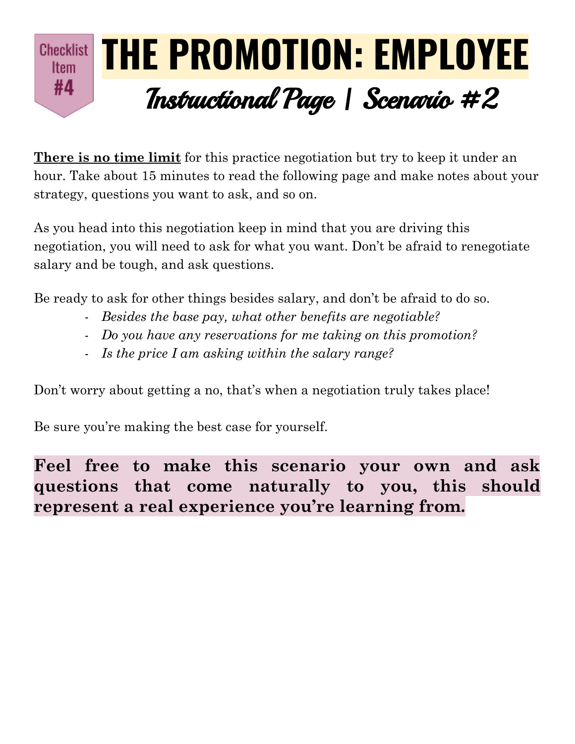

**There is no time limit** for this practice negotiation but try to keep it under an hour. Take about 15 minutes to read the following page and make notes about your strategy, questions you want to ask, and so on.

As you head into this negotiation keep in mind that you are driving this negotiation, you will need to ask for what you want. Don't be afraid to renegotiate salary and be tough, and ask questions.

Be ready to ask for other things besides salary, and don't be afraid to do so.

- *- Besides the base pay, what other benefits are negotiable?*
- *- Do you have any reservations for me taking on this promotion?*
- *- Is the price I am asking within the salary range?*

Don't worry about getting a no, that's when a negotiation truly takes place!

Be sure you're making the best case for yourself.

**Feel free to make this scenario your own and ask questions that come naturally to you, this should represent a real experience you're learning from.**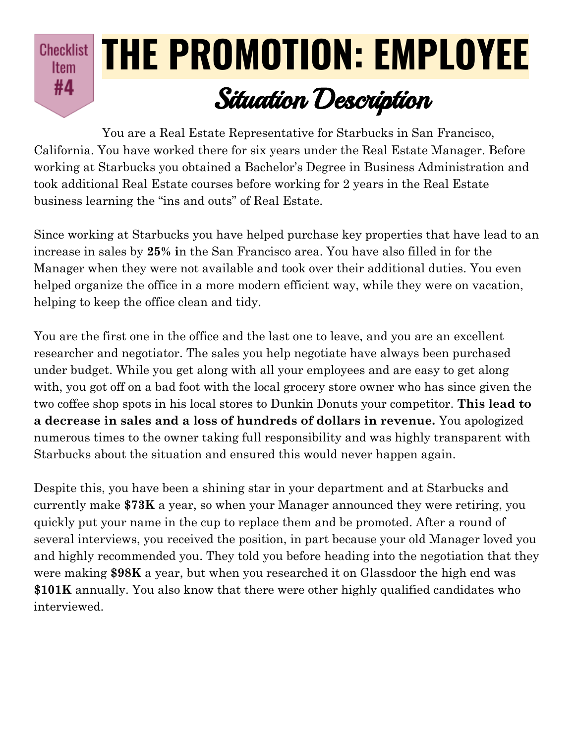**Checklist** Item #4

## **THE PROMOTION: EMPLOYEE** Situation Description

You are a Real Estate Representative for Starbucks in San Francisco, California. You have worked there for six years under the Real Estate Manager. Before working at Starbucks you obtained a Bachelor's Degree in Business Administration and took additional Real Estate courses before working for 2 years in the Real Estate business learning the "ins and outs" of Real Estate.

Since working at Starbucks you have helped purchase key properties that have lead to an increase in sales by **25% i**n the San Francisco area. You have also filled in for the Manager when they were not available and took over their additional duties. You even helped organize the office in a more modern efficient way, while they were on vacation, helping to keep the office clean and tidy.

You are the first one in the office and the last one to leave, and you are an excellent researcher and negotiator. The sales you help negotiate have always been purchased under budget. While you get along with all your employees and are easy to get along with, you got off on a bad foot with the local grocery store owner who has since given the two coffee shop spots in his local stores to Dunkin Donuts your competitor. **This lead to a decrease in sales and a loss of hundreds of dollars in revenue.** You apologized numerous times to the owner taking full responsibility and was highly transparent with Starbucks about the situation and ensured this would never happen again.

Despite this, you have been a shining star in your department and at Starbucks and currently make **\$73K** a year, so when your Manager announced they were retiring, you quickly put your name in the cup to replace them and be promoted. After a round of several interviews, you received the position, in part because your old Manager loved you and highly recommended you. They told you before heading into the negotiation that they were making **\$98K** a year, but when you researched it on Glassdoor the high end was **\$101K** annually. You also know that there were other highly qualified candidates who interviewed.